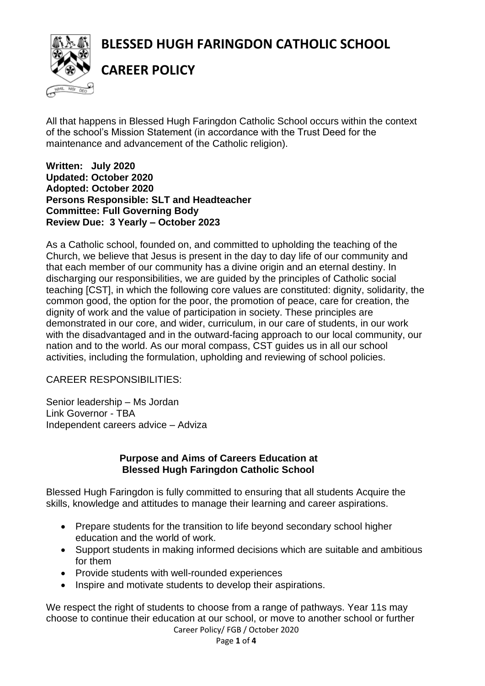**BLESSED HUGH FARINGDON CATHOLIC SCHOOL**



**CAREER POLICY**

All that happens in Blessed Hugh Faringdon Catholic School occurs within the context of the school's Mission Statement (in accordance with the Trust Deed for the maintenance and advancement of the Catholic religion).

**Written: July 2020 Updated: October 2020 Adopted: October 2020 Persons Responsible: SLT and Headteacher Committee: Full Governing Body Review Due: 3 Yearly – October 2023**

As a Catholic school, founded on, and committed to upholding the teaching of the Church, we believe that Jesus is present in the day to day life of our community and that each member of our community has a divine origin and an eternal destiny. In discharging our responsibilities, we are guided by the principles of Catholic social teaching [CST], in which the following core values are constituted: dignity, solidarity, the common good, the option for the poor, the promotion of peace, care for creation, the dignity of work and the value of participation in society. These principles are demonstrated in our core, and wider, curriculum, in our care of students, in our work with the disadvantaged and in the outward-facing approach to our local community, our nation and to the world. As our moral compass, CST guides us in all our school activities, including the formulation, upholding and reviewing of school policies.

CAREER RESPONSIBILITIES:

Senior leadership – Ms Jordan Link Governor - TBA Independent careers advice – Adviza

### **Purpose and Aims of Careers Education at Blessed Hugh Faringdon Catholic School**

Blessed Hugh Faringdon is fully committed to ensuring that all students Acquire the skills, knowledge and attitudes to manage their learning and career aspirations.

- Prepare students for the transition to life beyond secondary school higher education and the world of work.
- Support students in making informed decisions which are suitable and ambitious for them
- Provide students with well-rounded experiences
- Inspire and motivate students to develop their aspirations.

We respect the right of students to choose from a range of pathways. Year 11s may choose to continue their education at our school, or move to another school or further

Career Policy/ FGB / October 2020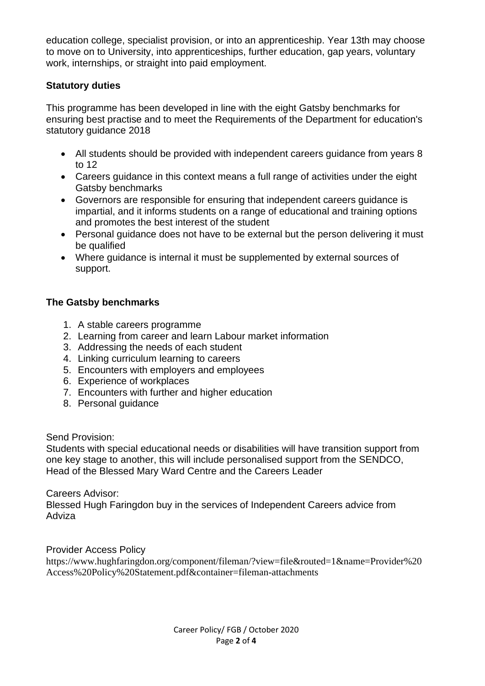education college, specialist provision, or into an apprenticeship. Year 13th may choose to move on to University, into apprenticeships, further education, gap years, voluntary work, internships, or straight into paid employment.

## **Statutory duties**

This programme has been developed in line with the eight Gatsby benchmarks for ensuring best practise and to meet the Requirements of the Department for education's statutory guidance 2018

- All students should be provided with independent careers guidance from years 8 to 12
- Careers guidance in this context means a full range of activities under the eight Gatsby benchmarks
- Governors are responsible for ensuring that independent careers guidance is impartial, and it informs students on a range of educational and training options and promotes the best interest of the student
- Personal guidance does not have to be external but the person delivering it must be qualified
- Where guidance is internal it must be supplemented by external sources of support.

## **The Gatsby benchmarks**

- 1. A stable careers programme
- 2. Learning from career and learn Labour market information
- 3. Addressing the needs of each student
- 4. Linking curriculum learning to careers
- 5. Encounters with employers and employees
- 6. Experience of workplaces
- 7. Encounters with further and higher education
- 8. Personal guidance

Send Provision:

Students with special educational needs or disabilities will have transition support from one key stage to another, this will include personalised support from the SENDCO, Head of the Blessed Mary Ward Centre and the Careers Leader

Careers Advisor:

Blessed Hugh Faringdon buy in the services of Independent Careers advice from Adviza

Provider Access Policy

https://www.hughfaringdon.org/component/fileman/?view=file&routed=1&name=Provider%20 Access%20Policy%20Statement.pdf&container=fileman-attachments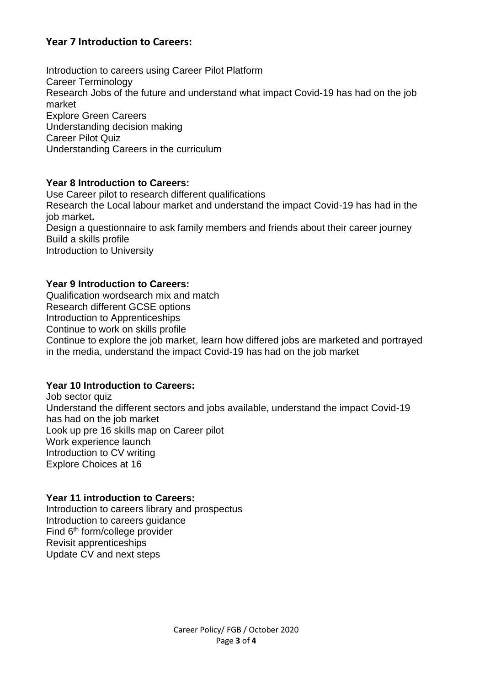# **Year 7 Introduction to Careers:**

Introduction to careers using Career Pilot Platform Career Terminology Research Jobs of the future and understand what impact Covid-19 has had on the job market Explore Green Careers Understanding decision making Career Pilot Quiz Understanding Careers in the curriculum

#### **Year 8 Introduction to Careers:**

Use Career pilot to research different qualifications Research the Local labour market and understand the impact Covid-19 has had in the job market**.** Design a questionnaire to ask family members and friends about their career journey Build a skills profile Introduction to University

### **Year 9 Introduction to Careers:**

Qualification wordsearch mix and match Research different GCSE options Introduction to Apprenticeships Continue to work on skills profile Continue to explore the job market, learn how differed jobs are marketed and portrayed in the media, understand the impact Covid-19 has had on the job market

### **Year 10 Introduction to Careers:**

Job sector quiz Understand the different sectors and jobs available, understand the impact Covid-19 has had on the job market Look up pre 16 skills map on Career pilot Work experience launch Introduction to CV writing Explore Choices at 16

### **Year 11 introduction to Careers:**

Introduction to careers library and prospectus Introduction to careers guidance Find 6th form/college provider Revisit apprenticeships Update CV and next steps

> Career Policy/ FGB / October 2020 Page **3** of **4**